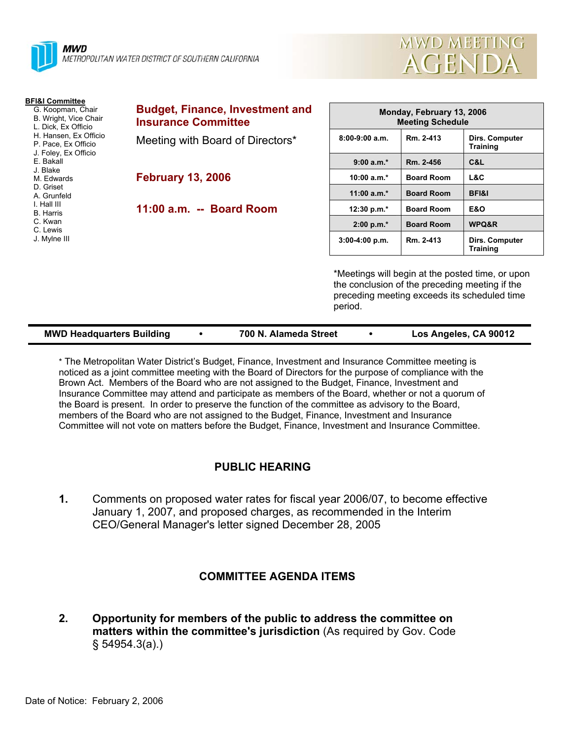

| <b>MWD MEETING</b> |  |
|--------------------|--|
| AGENDA             |  |

| <b>BFI&amp;I Committee</b><br>G. Koopman, Chair<br>B. Wright, Vice Chair<br>L. Dick, Ex Officio                   | <b>Budget, Finance, Investment and</b><br><b>Insurance Committee</b> | Monday, February 13, 2006<br><b>Meeting Schedule</b>      |                   |                                                                                                  |  |
|-------------------------------------------------------------------------------------------------------------------|----------------------------------------------------------------------|-----------------------------------------------------------|-------------------|--------------------------------------------------------------------------------------------------|--|
| H. Hansen, Ex Officio<br>P. Pace, Ex Officio<br>J. Foley, Ex Officio                                              | Meeting with Board of Directors*                                     | $8:00-9:00$ a.m.                                          | Rm. 2-413         | Dirs. Computer<br><b>Training</b>                                                                |  |
| E. Bakall                                                                                                         |                                                                      | $9:00 a.m.*$                                              | Rm. 2-456         | C&L                                                                                              |  |
| J. Blake<br><b>February 13, 2006</b><br>M. Edwards<br>D. Griset<br>A. Grunfeld<br>I. Hall III<br><b>B.</b> Harris |                                                                      | $10:00 a.m.*$                                             | <b>Board Room</b> | L&C                                                                                              |  |
|                                                                                                                   |                                                                      | 11:00 $a.m.*$                                             | <b>Board Room</b> | <b>BFI&amp;I</b>                                                                                 |  |
|                                                                                                                   | 11:00 a.m. -- Board Room                                             | 12:30 p.m.*                                               | <b>Board Room</b> | E&O                                                                                              |  |
| C. Kwan<br>C. Lewis                                                                                               |                                                                      | $2:00 p.m.*$                                              | <b>Board Room</b> | WPQ&R                                                                                            |  |
| J. Mylne III                                                                                                      |                                                                      | $3:00-4:00 p.m.$                                          | Rm. 2-413         | Dirs. Computer<br><b>Training</b>                                                                |  |
|                                                                                                                   |                                                                      | the conclusion of the preceding meeting if the<br>period. |                   | *Meetings will begin at the posted time, or upon<br>preceding meeting exceeds its scheduled time |  |

| <b>MWD Headquarters Building</b> | 700 N. Alameda Street | Los Angeles, CA 90012 |
|----------------------------------|-----------------------|-----------------------|
|                                  |                       |                       |

\* The Metropolitan Water District's Budget, Finance, Investment and Insurance Committee meeting is noticed as a joint committee meeting with the Board of Directors for the purpose of compliance with the Brown Act. Members of the Board who are not assigned to the Budget, Finance, Investment and Insurance Committee may attend and participate as members of the Board, whether or not a quorum of the Board is present. In order to preserve the function of the committee as advisory to the Board, members of the Board who are not assigned to the Budget, Finance, Investment and Insurance Committee will not vote on matters before the Budget, Finance, Investment and Insurance Committee.

# **PUBLIC HEARING**

**1.** Comments on proposed water rates for fiscal year 2006/07, to become effective January 1, 2007, and proposed charges, as recommended in the Interim CEO/General Manager's letter signed December 28, 2005

## **COMMITTEE AGENDA ITEMS**

**2. Opportunity for members of the public to address the committee on matters within the committee's jurisdiction** (As required by Gov. Code § 54954.3(a).)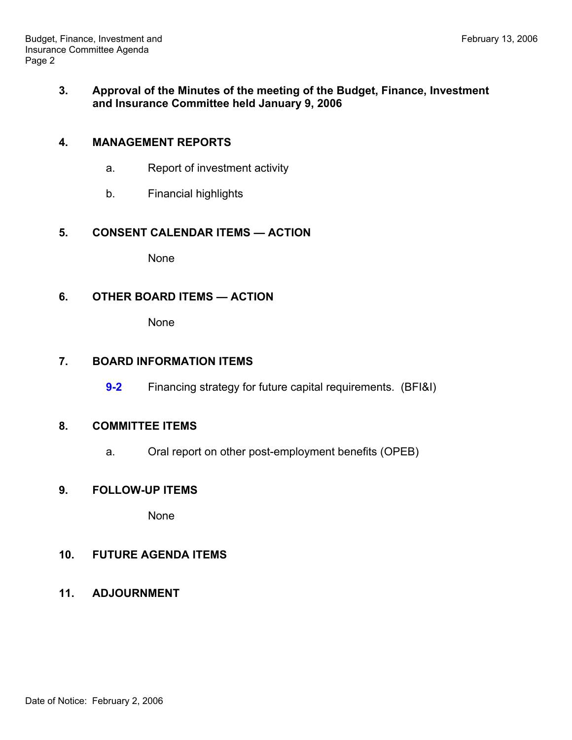### **3. Approval of the Minutes of the meeting of the Budget, Finance, Investment and Insurance Committee held January 9, 2006**

### **4. MANAGEMENT REPORTS**

- a. Report of investment activity
- b. Financial highlights

### **5. CONSENT CALENDAR ITEMS — ACTION**

None

### **6. OTHER BOARD ITEMS — ACTION**

None

### **7. BOARD INFORMATION ITEMS**

**9-2** Financing strategy for future capital requirements. (BFI&I)

### **8. COMMITTEE ITEMS**

a. Oral report on other post-employment benefits (OPEB)

### **9. FOLLOW-UP ITEMS**

None

### **10. FUTURE AGENDA ITEMS**

**11. ADJOURNMENT**